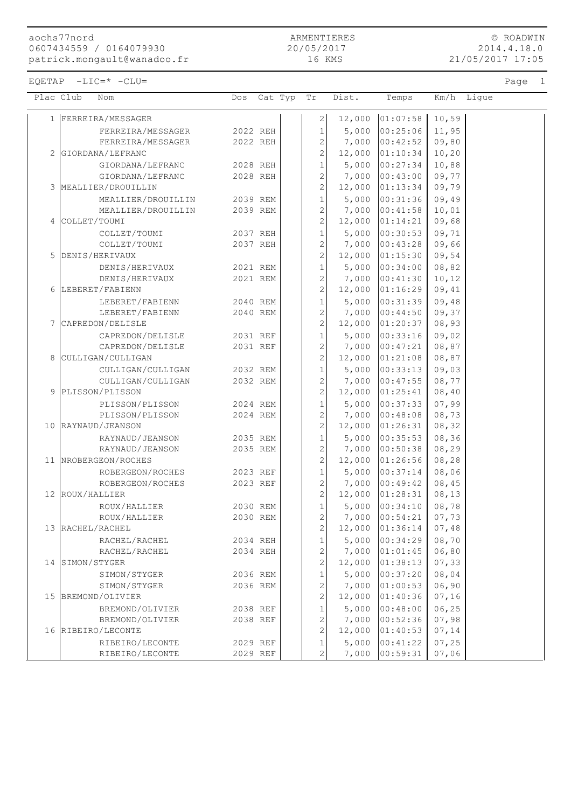aochs77nord 0607434559 / 0164079930 patrick.mongault@wanadoo.fr

ARMENTIERES 20/05/2017 16 KMS

© ROADWIN 2014.4.18.0 21/05/2017 17:05

EQETAP -LIC=\* -CLU= Page 1

| Plac Club |                 | Nom                                  | Dos Cat Typ Tr       |  |                                  | Dist.           | Temps                                 |                 | Km/h Ligue |
|-----------|-----------------|--------------------------------------|----------------------|--|----------------------------------|-----------------|---------------------------------------|-----------------|------------|
|           |                 | 1 FERREIRA/MESSAGER                  |                      |  | 2                                |                 | 12,000 01:07:58                       | 10,59           |            |
|           |                 | FERREIRA/MESSAGER                    | 2022 REH             |  | $\mathbf{1}$                     |                 | $5,000$ 00:25:06                      | 11,95           |            |
|           |                 | FERREIRA/MESSAGER                    | 2022 REH             |  | $\overline{2}$                   |                 | $7,000$ 00:42:52                      | 09,80           |            |
|           |                 | 2 GIORDANA/LEFRANC                   |                      |  | $\overline{c}$                   |                 | $12,000$ 01:10:34                     | 10, 20          |            |
|           |                 | GIORDANA/LEFRANC                     | 2028 REH             |  | $\mathbf{1}$                     |                 | $5,000$ 00:27:34                      | 10,88           |            |
|           |                 | GIORDANA/LEFRANC                     | 2028 REH             |  | $\overline{c}$                   |                 | $7,000$ 00:43:00                      | 09,77           |            |
|           |                 | 3 MEALLIER/DROUILLIN                 |                      |  | $\overline{c}$                   |                 | $12,000$ 01:13:34                     | 09,79           |            |
|           |                 | MEALLIER/DROUILLIN                   | 2039 REM             |  | $\mathbf{1}$                     |                 | $5,000$ 00:31:36                      | 09,49           |            |
|           |                 | MEALLIER/DROUILLIN                   | 2039 REM             |  | $\overline{c}$                   |                 | 7,000 00:41:58                        | 10,01           |            |
|           | 4 COLLET/TOUMI  |                                      |                      |  | $\overline{c}$                   |                 | $12,000$ $01:14:21$                   | 09,68           |            |
|           |                 | COLLET/TOUMI                         | 2037 REH             |  | $\mathbf 1$                      |                 | $5,000$ 00:30:53                      | 09,71           |            |
|           |                 | COLLET/TOUMI                         | 2037 REH             |  | $\overline{c}$                   |                 | $7,000$ 00:43:28                      | 09,66           |            |
|           |                 | 5 DENIS/HERIVAUX                     |                      |  | $\overline{c}$                   |                 | $12,000$ $01:15:30$                   | 09,54           |            |
|           |                 | DENIS/HERIVAUX                       | 2021 REM             |  | $\mathbf{1}$                     |                 | $5,000$ 00:34:00                      | 08,82           |            |
|           |                 | DENIS/HERIVAUX                       | 2021 REM             |  | $\overline{c}$                   |                 | $7,000$ 00:41:30                      | 10,12           |            |
|           |                 | 6 LEBERET/FABIENN                    |                      |  | $\overline{c}$                   |                 | $12,000$ 01:16:29                     | 09,41           |            |
|           |                 | LEBERET/FABIENN                      | 2040 REM             |  | $\mathbf{1}$<br>$\overline{c}$   |                 | $5,000$ 00:31:39                      | 09,48           |            |
| 7         |                 | LEBERET/FABIENN<br>CAPREDON/DELISLE  | 2040 REM             |  | $\overline{c}$                   |                 | $7,000$ 00:44:50<br>$12,000$ 01:20:37 | 09, 37<br>08,93 |            |
|           |                 |                                      |                      |  | $\mathbf{1}$                     |                 | $5,000$ 00:33:16                      | 09,02           |            |
|           |                 | CAPREDON/DELISLE<br>CAPREDON/DELISLE | 2031 REF<br>2031 REF |  | $\overline{2}$                   |                 | $7,000$ 00:47:21                      | 08,87           |            |
|           |                 | 8 CULLIGAN/CULLIGAN                  |                      |  | $\overline{c}$                   |                 | $12,000$ $01:21:08$                   | 08,87           |            |
|           |                 | CULLIGAN/CULLIGAN                    | 2032 REM             |  | $\mathbf{1}$                     |                 | $5,000$ 00:33:13                      | 09,03           |            |
|           |                 | CULLIGAN/CULLIGAN                    | 2032 REM             |  | $\overline{2}$                   |                 | $7,000$ 00:47:55                      | 08, 77          |            |
|           |                 | 9 PLISSON/PLISSON                    |                      |  | $\overline{c}$                   |                 | $12,000$ $01:25:41$                   | 08,40           |            |
|           |                 | PLISSON/PLISSON                      | 2024 REM             |  | $\mathbf 1$                      |                 | $5,000$ 00:37:33                      | 07,99           |            |
|           |                 | PLISSON/PLISSON                      | 2024 REM             |  | $\overline{c}$                   |                 | 7,000 00:48:08                        | 08,73           |            |
|           |                 | 10 RAYNAUD/JEANSON                   |                      |  | $\overline{c}$                   |                 | $12,000$ 01:26:31                     | 08,32           |            |
|           |                 | RAYNAUD/JEANSON                      | 2035 REM             |  | $\mathbf{1}$                     |                 | $5,000$ 00:35:53                      | 08, 36          |            |
|           |                 | RAYNAUD/JEANSON                      | 2035 REM             |  | $\overline{c}$                   |                 | $7,000$ 00:50:38                      | 08, 29          |            |
|           |                 | 11  NROBERGEON/ROCHES                |                      |  | $\overline{c}$                   |                 | 12,000 01:26:56                       | 08, 28          |            |
|           |                 | ROBERGEON/ROCHES                     | 2023 REF             |  | $\overline{1}$                   |                 | $5,000$ 00:37:14                      | 08,06           |            |
|           |                 | ROBERGEON/ROCHES                     | 2023 REF             |  | $\overline{c}$                   |                 | $7,000$ 00:49:42                      | 08,45           |            |
|           | 12 ROUX/HALLIER |                                      |                      |  | $\overline{2}$                   |                 | $12,000$ $01:28:31$                   | 08, 13          |            |
|           |                 | ROUX/HALLIER                         | 2030 REM             |  | $\mathbf{1}$                     |                 | $5,000$ 00:34:10                      | 08,78           |            |
|           |                 | ROUX/HALLIER                         | 2030 REM             |  | $\overline{2}$                   | 7,000           | 00:54:21                              | 07,73           |            |
|           |                 | 13 RACHEL/RACHEL                     |                      |  | $\overline{c}$                   | 12,000          | 01:36:14                              | 07,48           |            |
|           |                 | RACHEL/RACHEL                        | 2034 REH             |  | $1\,$                            | 5,000           | 00:34:29                              | 08,70           |            |
|           |                 | RACHEL/RACHEL                        | 2034 REH             |  | $\overline{c}$<br>$\overline{c}$ |                 | $7,000$ 01:01:45                      | 06, 80          |            |
|           | 14 SIMON/STYGER |                                      |                      |  |                                  |                 | 12,000 01:38:13                       | 07, 33          |            |
|           |                 | SIMON/STYGER                         | 2036 REM             |  | $\mathbf{1}$<br>$\sqrt{2}$       | 5,000           | 00:37:20<br> 01:00:53                 | 08,04<br>06,90  |            |
|           |                 | SIMON/STYGER<br>15 BREMOND/OLIVIER   | 2036 REM             |  | $\overline{c}$                   | 7,000<br>12,000 | 01:40:36                              | 07, 16          |            |
|           |                 | BREMOND/OLIVIER                      | 2038 REF             |  | $\,1\,$                          | 5,000           | 00:48:00                              | 06, 25          |            |
|           |                 | BREMOND/OLIVIER                      | 2038 REF             |  | $\sqrt{2}$                       | 7,000           | 00:52:36                              | 07,98           |            |
| 16        |                 | RIBEIRO/LECONTE                      |                      |  | $\overline{c}$                   | 12,000          | 01:40:53                              | 07, 14          |            |
|           |                 | RIBEIRO/LECONTE                      | 2029 REF             |  | $\,1\,$                          | 5,000           | 00:41:22                              | 07, 25          |            |
|           |                 | RIBEIRO/LECONTE                      | 2029 REF             |  | $\overline{2}$                   | 7,000           | 00:59:31                              | 07,06           |            |
|           |                 |                                      |                      |  |                                  |                 |                                       |                 |            |